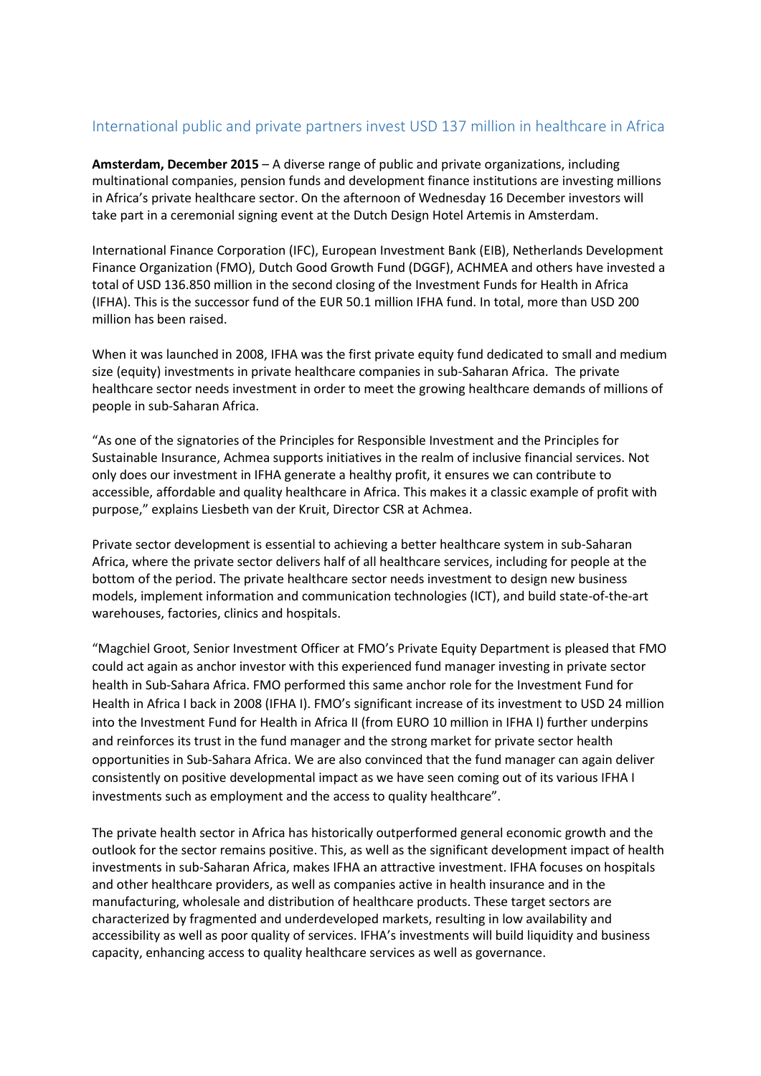## International public and private partners invest USD 137 million in healthcare in Africa

**Amsterdam, December 2015** – A diverse range of public and private organizations, including multinational companies, pension funds and development finance institutions are investing millions in Africa's private healthcare sector. On the afternoon of Wednesday 16 December investors will take part in a ceremonial signing event at the Dutch Design Hotel Artemis in Amsterdam.

International Finance Corporation (IFC), European Investment Bank (EIB), Netherlands Development Finance Organization (FMO), Dutch Good Growth Fund (DGGF), ACHMEA and others have invested a total of USD 136.850 million in the second closing of the Investment Funds for Health in Africa (IFHA). This is the successor fund of the EUR 50.1 million IFHA fund. In total, more than USD 200 million has been raised.

When it was launched in 2008, IFHA was the first private equity fund dedicated to small and medium size (equity) investments in private healthcare companies in sub-Saharan Africa. The private healthcare sector needs investment in order to meet the growing healthcare demands of millions of people in sub-Saharan Africa.

"As one of the signatories of the Principles for Responsible Investment and the Principles for Sustainable Insurance, Achmea supports initiatives in the realm of inclusive financial services. Not only does our investment in IFHA generate a healthy profit, it ensures we can contribute to accessible, affordable and quality healthcare in Africa. This makes it a classic example of profit with purpose," explains Liesbeth van der Kruit, Director CSR at Achmea.

Private sector development is essential to achieving a better healthcare system in sub-Saharan Africa, where the private sector delivers half of all healthcare services, including for people at the bottom of the period. The private healthcare sector needs investment to design new business models, implement information and communication technologies (ICT), and build state-of-the-art warehouses, factories, clinics and hospitals.

"Magchiel Groot, Senior Investment Officer at FMO's Private Equity Department is pleased that FMO could act again as anchor investor with this experienced fund manager investing in private sector health in Sub-Sahara Africa. FMO performed this same anchor role for the Investment Fund for Health in Africa I back in 2008 (IFHA I). FMO's significant increase of its investment to USD 24 million into the Investment Fund for Health in Africa II (from EURO 10 million in IFHA I) further underpins and reinforces its trust in the fund manager and the strong market for private sector health opportunities in Sub-Sahara Africa. We are also convinced that the fund manager can again deliver consistently on positive developmental impact as we have seen coming out of its various IFHA I investments such as employment and the access to quality healthcare".

The private health sector in Africa has historically outperformed general economic growth and the outlook for the sector remains positive. This, as well as the significant development impact of health investments in sub-Saharan Africa, makes IFHA an attractive investment. IFHA focuses on hospitals and other healthcare providers, as well as companies active in health insurance and in the manufacturing, wholesale and distribution of healthcare products. These target sectors are characterized by fragmented and underdeveloped markets, resulting in low availability and accessibility as well as poor quality of services. IFHA's investments will build liquidity and business capacity, enhancing access to quality healthcare services as well as governance.